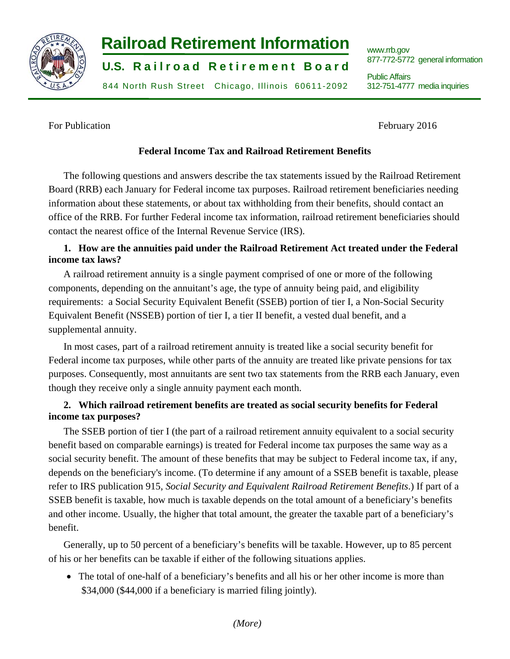

# **Railroad Retirement Information Waterstrue Retirement Information**

**U.S. Railroad Retirement Board** 

844 North Rush Street Chicago, Illinois 60611-2092 312-751-4777 media inquiries

877-772-5772 general information

312-751-4777 media inquiries Public Affairs

For Publication February 2016

# **Federal Income Tax and Railroad Retirement Benefits**

The following questions and answers describe the tax statements issued by the Railroad Retirement Board (RRB) each January for Federal income tax purposes. Railroad retirement beneficiaries needing information about these statements, or about tax withholding from their benefits, should contact an office of the RRB. For further Federal income tax information, railroad retirement beneficiaries should contact the nearest office of the Internal Revenue Service (IRS).

# **1. How are the annuities paid under the Railroad Retirement Act treated under the Federal income tax laws?**

A railroad retirement annuity is a single payment comprised of one or more of the following components, depending on the annuitant's age, the type of annuity being paid, and eligibility requirements: a Social Security Equivalent Benefit (SSEB) portion of tier I, a Non-Social Security Equivalent Benefit (NSSEB) portion of tier I, a tier II benefit, a vested dual benefit, and a supplemental annuity.

In most cases, part of a railroad retirement annuity is treated like a social security benefit for Federal income tax purposes, while other parts of the annuity are treated like private pensions for tax purposes. Consequently, most annuitants are sent two tax statements from the RRB each January, even though they receive only a single annuity payment each month.

# **2. Which railroad retirement benefits are treated as social security benefits for Federal income tax purposes?**

The SSEB portion of tier I (the part of a railroad retirement annuity equivalent to a social security benefit based on comparable earnings) is treated for Federal income tax purposes the same way as a social security benefit. The amount of these benefits that may be subject to Federal income tax, if any, depends on the beneficiary's income. (To determine if any amount of a SSEB benefit is taxable, please refer to IRS publication 915, *Social Security and Equivalent Railroad Retirement Benefits*.) If part of a SSEB benefit is taxable, how much is taxable depends on the total amount of a beneficiary's benefits and other income. Usually, the higher that total amount, the greater the taxable part of a beneficiary's benefit.

Generally, up to 50 percent of a beneficiary's benefits will be taxable. However, up to 85 percent of his or her benefits can be taxable if either of the following situations applies.

 The total of one-half of a beneficiary's benefits and all his or her other income is more than \$34,000 (\$44,000 if a beneficiary is married filing jointly).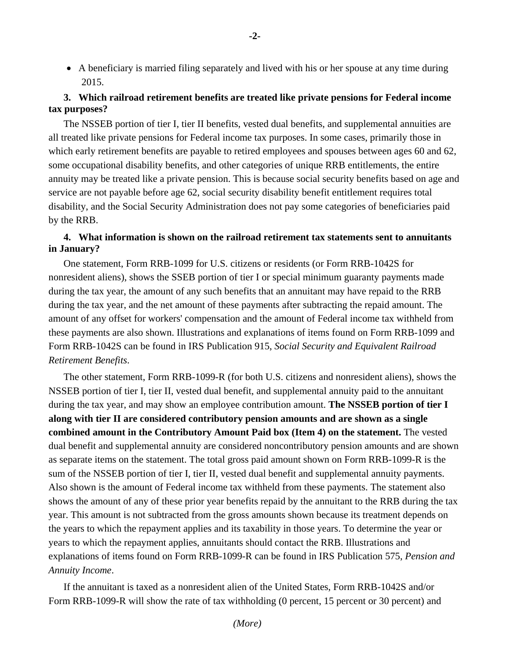A beneficiary is married filing separately and lived with his or her spouse at any time during 2015.

# **3. Which railroad retirement benefits are treated like private pensions for Federal income tax purposes?**

The NSSEB portion of tier I, tier II benefits, vested dual benefits, and supplemental annuities are all treated like private pensions for Federal income tax purposes. In some cases, primarily those in which early retirement benefits are payable to retired employees and spouses between ages 60 and 62, some occupational disability benefits, and other categories of unique RRB entitlements, the entire annuity may be treated like a private pension. This is because social security benefits based on age and service are not payable before age 62, social security disability benefit entitlement requires total disability, and the Social Security Administration does not pay some categories of beneficiaries paid by the RRB.

## **4. What information is shown on the railroad retirement tax statements sent to annuitants in January?**

One statement, Form RRB-1099 for U.S. citizens or residents (or Form RRB-1042S for nonresident aliens), shows the SSEB portion of tier I or special minimum guaranty payments made during the tax year, the amount of any such benefits that an annuitant may have repaid to the RRB during the tax year, and the net amount of these payments after subtracting the repaid amount. The amount of any offset for workers' compensation and the amount of Federal income tax withheld from these payments are also shown. Illustrations and explanations of items found on Form RRB-1099 and Form RRB-1042S can be found in IRS Publication 915, *Social Security and Equivalent Railroad Retirement Benefits*.

The other statement, Form RRB-1099-R (for both U.S. citizens and nonresident aliens), shows the NSSEB portion of tier I, tier II, vested dual benefit, and supplemental annuity paid to the annuitant during the tax year, and may show an employee contribution amount. **The NSSEB portion of tier I along with tier II are considered contributory pension amounts and are shown as a single combined amount in the Contributory Amount Paid box (Item 4) on the statement.** The vested dual benefit and supplemental annuity are considered noncontributory pension amounts and are shown as separate items on the statement. The total gross paid amount shown on Form RRB-1099-R is the sum of the NSSEB portion of tier I, tier II, vested dual benefit and supplemental annuity payments. Also shown is the amount of Federal income tax withheld from these payments. The statement also shows the amount of any of these prior year benefits repaid by the annuitant to the RRB during the tax year. This amount is not subtracted from the gross amounts shown because its treatment depends on the years to which the repayment applies and its taxability in those years. To determine the year or years to which the repayment applies, annuitants should contact the RRB. Illustrations and explanations of items found on Form RRB-1099-R can be found in IRS Publication 575, *Pension and Annuity Income*.

If the annuitant is taxed as a nonresident alien of the United States, Form RRB-1042S and/or Form RRB-1099-R will show the rate of tax withholding (0 percent, 15 percent or 30 percent) and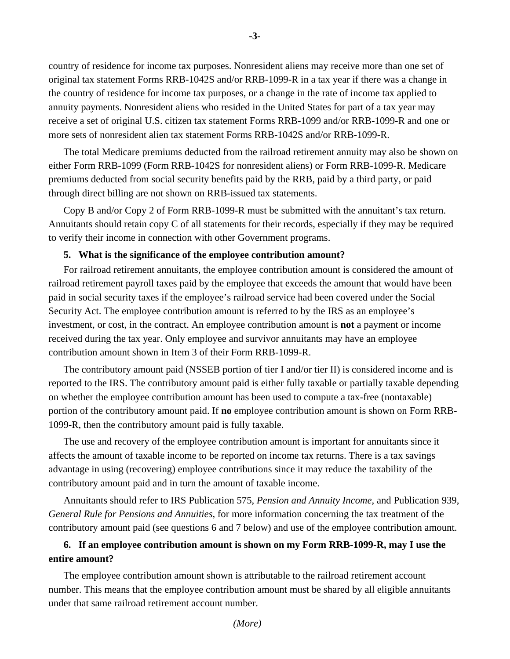country of residence for income tax purposes. Nonresident aliens may receive more than one set of original tax statement Forms RRB-1042S and/or RRB-1099-R in a tax year if there was a change in the country of residence for income tax purposes, or a change in the rate of income tax applied to annuity payments. Nonresident aliens who resided in the United States for part of a tax year may receive a set of original U.S. citizen tax statement Forms RRB-1099 and/or RRB-1099-R and one or more sets of nonresident alien tax statement Forms RRB-1042S and/or RRB-1099-R.

The total Medicare premiums deducted from the railroad retirement annuity may also be shown on either Form RRB-1099 (Form RRB-1042S for nonresident aliens) or Form RRB-1099-R. Medicare premiums deducted from social security benefits paid by the RRB, paid by a third party, or paid through direct billing are not shown on RRB-issued tax statements.

Copy B and/or Copy 2 of Form RRB-1099-R must be submitted with the annuitant's tax return. Annuitants should retain copy C of all statements for their records, especially if they may be required to verify their income in connection with other Government programs.

#### **5. What is the significance of the employee contribution amount?**

For railroad retirement annuitants, the employee contribution amount is considered the amount of railroad retirement payroll taxes paid by the employee that exceeds the amount that would have been paid in social security taxes if the employee's railroad service had been covered under the Social Security Act. The employee contribution amount is referred to by the IRS as an employee's investment, or cost, in the contract. An employee contribution amount is **not** a payment or income received during the tax year. Only employee and survivor annuitants may have an employee contribution amount shown in Item 3 of their Form RRB-1099-R.

The contributory amount paid (NSSEB portion of tier I and/or tier II) is considered income and is reported to the IRS. The contributory amount paid is either fully taxable or partially taxable depending on whether the employee contribution amount has been used to compute a tax-free (nontaxable) portion of the contributory amount paid. If **no** employee contribution amount is shown on Form RRB-1099-R, then the contributory amount paid is fully taxable.

The use and recovery of the employee contribution amount is important for annuitants since it affects the amount of taxable income to be reported on income tax returns. There is a tax savings advantage in using (recovering) employee contributions since it may reduce the taxability of the contributory amount paid and in turn the amount of taxable income.

Annuitants should refer to IRS Publication 575, *Pension and Annuity Income*, and Publication 939, *General Rule for Pensions and Annuities*, for more information concerning the tax treatment of the contributory amount paid (see questions 6 and 7 below) and use of the employee contribution amount.

# **6. If an employee contribution amount is shown on my Form RRB-1099-R, may I use the entire amount?**

The employee contribution amount shown is attributable to the railroad retirement account number. This means that the employee contribution amount must be shared by all eligible annuitants under that same railroad retirement account number.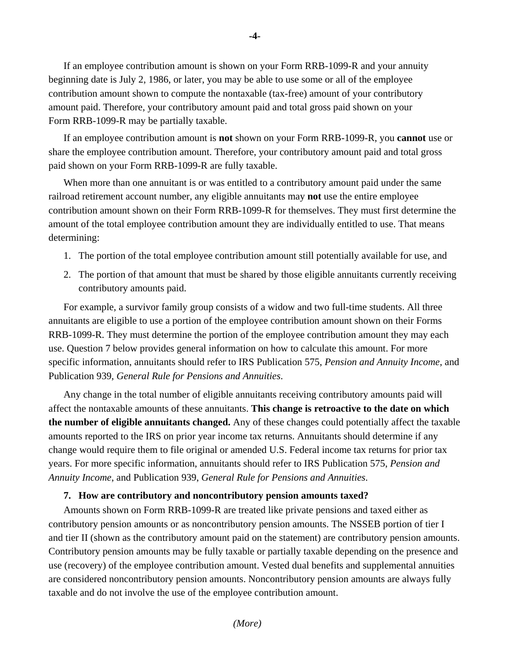If an employee contribution amount is shown on your Form RRB-1099-R and your annuity beginning date is July 2, 1986, or later, you may be able to use some or all of the employee contribution amount shown to compute the nontaxable (tax-free) amount of your contributory amount paid. Therefore, your contributory amount paid and total gross paid shown on your Form RRB-1099-R may be partially taxable.

If an employee contribution amount is **not** shown on your Form RRB-1099-R, you **cannot** use or share the employee contribution amount. Therefore, your contributory amount paid and total gross paid shown on your Form RRB-1099-R are fully taxable.

When more than one annuitant is or was entitled to a contributory amount paid under the same railroad retirement account number, any eligible annuitants may **not** use the entire employee contribution amount shown on their Form RRB-1099-R for themselves. They must first determine the amount of the total employee contribution amount they are individually entitled to use. That means determining:

- 1. The portion of the total employee contribution amount still potentially available for use, and
- 2. The portion of that amount that must be shared by those eligible annuitants currently receiving contributory amounts paid.

For example, a survivor family group consists of a widow and two full-time students. All three annuitants are eligible to use a portion of the employee contribution amount shown on their Forms RRB-1099-R. They must determine the portion of the employee contribution amount they may each use. Question 7 below provides general information on how to calculate this amount. For more specific information, annuitants should refer to IRS Publication 575, *Pension and Annuity Income*, and Publication 939, *General Rule for Pensions and Annuities*.

Any change in the total number of eligible annuitants receiving contributory amounts paid will affect the nontaxable amounts of these annuitants. **This change is retroactive to the date on which the number of eligible annuitants changed.** Any of these changes could potentially affect the taxable amounts reported to the IRS on prior year income tax returns. Annuitants should determine if any change would require them to file original or amended U.S. Federal income tax returns for prior tax years. For more specific information, annuitants should refer to IRS Publication 575, *Pension and Annuity Income*, and Publication 939, *General Rule for Pensions and Annuities*.

# **7. How are contributory and noncontributory pension amounts taxed?**

Amounts shown on Form RRB-1099-R are treated like private pensions and taxed either as contributory pension amounts or as noncontributory pension amounts. The NSSEB portion of tier I and tier II (shown as the contributory amount paid on the statement) are contributory pension amounts. Contributory pension amounts may be fully taxable or partially taxable depending on the presence and use (recovery) of the employee contribution amount. Vested dual benefits and supplemental annuities are considered noncontributory pension amounts. Noncontributory pension amounts are always fully taxable and do not involve the use of the employee contribution amount.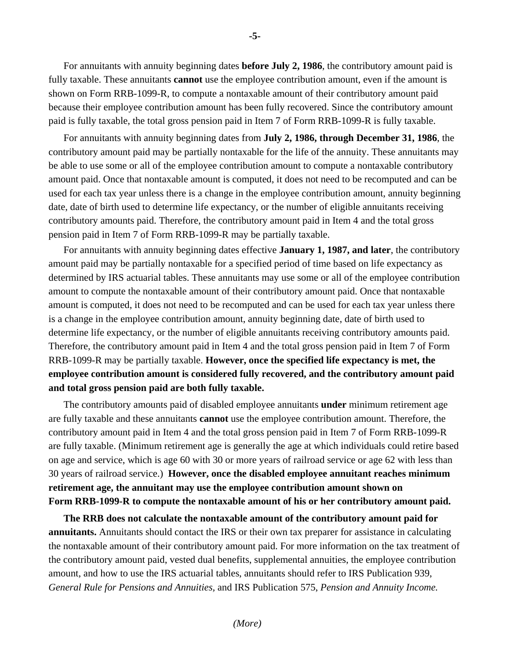For annuitants with annuity beginning dates **before July 2, 1986**, the contributory amount paid is fully taxable. These annuitants **cannot** use the employee contribution amount, even if the amount is shown on Form RRB-1099-R, to compute a nontaxable amount of their contributory amount paid because their employee contribution amount has been fully recovered. Since the contributory amount paid is fully taxable, the total gross pension paid in Item 7 of Form RRB-1099-R is fully taxable.

For annuitants with annuity beginning dates from **July 2, 1986, through December 31, 1986**, the contributory amount paid may be partially nontaxable for the life of the annuity. These annuitants may be able to use some or all of the employee contribution amount to compute a nontaxable contributory amount paid. Once that nontaxable amount is computed, it does not need to be recomputed and can be used for each tax year unless there is a change in the employee contribution amount, annuity beginning date, date of birth used to determine life expectancy, or the number of eligible annuitants receiving contributory amounts paid. Therefore, the contributory amount paid in Item 4 and the total gross pension paid in Item 7 of Form RRB-1099-R may be partially taxable.

For annuitants with annuity beginning dates effective **January 1, 1987, and later**, the contributory amount paid may be partially nontaxable for a specified period of time based on life expectancy as determined by IRS actuarial tables. These annuitants may use some or all of the employee contribution amount to compute the nontaxable amount of their contributory amount paid. Once that nontaxable amount is computed, it does not need to be recomputed and can be used for each tax year unless there is a change in the employee contribution amount, annuity beginning date, date of birth used to determine life expectancy, or the number of eligible annuitants receiving contributory amounts paid. Therefore, the contributory amount paid in Item 4 and the total gross pension paid in Item 7 of Form RRB-1099-R may be partially taxable. **However, once the specified life expectancy is met, the employee contribution amount is considered fully recovered, and the contributory amount paid and total gross pension paid are both fully taxable.** 

 **Form RRB-1099-R to compute the nontaxable amount of his or her contributory amount paid. The RRB does not calculate the nontaxable amount of the contributory amount paid for**  The contributory amounts paid of disabled employee annuitants **under** minimum retirement age are fully taxable and these annuitants **cannot** use the employee contribution amount. Therefore, the contributory amount paid in Item 4 and the total gross pension paid in Item 7 of Form RRB-1099-R are fully taxable. (Minimum retirement age is generally the age at which individuals could retire based on age and service, which is age 60 with 30 or more years of railroad service or age 62 with less than 30 years of railroad service.) **However, once the disabled employee annuitant reaches minimum retirement age, the annuitant may use the employee contribution amount shown on** 

**annuitants.** Annuitants should contact the IRS or their own tax preparer for assistance in calculating the nontaxable amount of their contributory amount paid. For more information on the tax treatment of the contributory amount paid, vested dual benefits, supplemental annuities, the employee contribution amount, and how to use the IRS actuarial tables, annuitants should refer to IRS Publication 939, *General Rule for Pensions and Annuities,* and IRS Publication 575, *Pension and Annuity Income.* 

**-5-**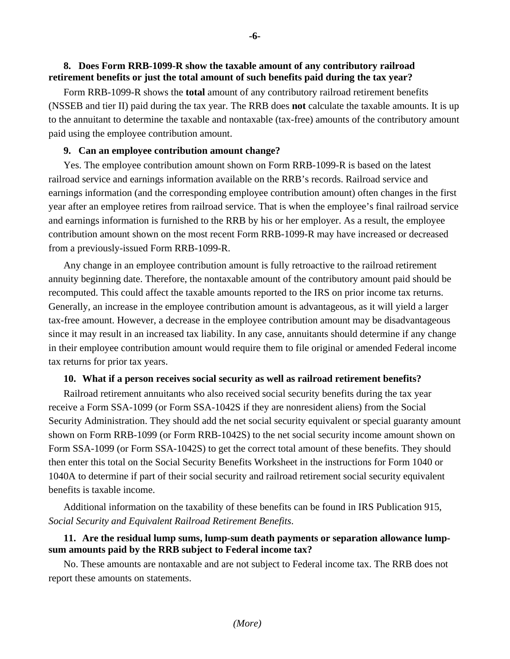### **8. Does Form RRB-1099-R show the taxable amount of any contributory railroad retirement benefits or just the total amount of such benefits paid during the tax year?**

Form RRB-1099-R shows the **total** amount of any contributory railroad retirement benefits (NSSEB and tier II) paid during the tax year. The RRB does **not** calculate the taxable amounts. It is up to the annuitant to determine the taxable and nontaxable (tax-free) amounts of the contributory amount paid using the employee contribution amount.

#### **9. Can an employee contribution amount change?**

Yes. The employee contribution amount shown on Form RRB-1099-R is based on the latest railroad service and earnings information available on the RRB's records. Railroad service and earnings information (and the corresponding employee contribution amount) often changes in the first year after an employee retires from railroad service. That is when the employee's final railroad service and earnings information is furnished to the RRB by his or her employer. As a result, the employee contribution amount shown on the most recent Form RRB-1099-R may have increased or decreased from a previously-issued Form RRB-1099-R.

Any change in an employee contribution amount is fully retroactive to the railroad retirement annuity beginning date. Therefore, the nontaxable amount of the contributory amount paid should be recomputed. This could affect the taxable amounts reported to the IRS on prior income tax returns. Generally, an increase in the employee contribution amount is advantageous, as it will yield a larger tax-free amount. However, a decrease in the employee contribution amount may be disadvantageous since it may result in an increased tax liability. In any case, annuitants should determine if any change in their employee contribution amount would require them to file original or amended Federal income tax returns for prior tax years.

#### **10. What if a person receives social security as well as railroad retirement benefits?**

Railroad retirement annuitants who also received social security benefits during the tax year receive a Form SSA-1099 (or Form SSA-1042S if they are nonresident aliens) from the Social Security Administration. They should add the net social security equivalent or special guaranty amount shown on Form RRB-1099 (or Form RRB-1042S) to the net social security income amount shown on Form SSA-1099 (or Form SSA-1042S) to get the correct total amount of these benefits. They should then enter this total on the Social Security Benefits Worksheet in the instructions for Form 1040 or 1040A to determine if part of their social security and railroad retirement social security equivalent benefits is taxable income.

Additional information on the taxability of these benefits can be found in IRS Publication 915, *Social Security and Equivalent Railroad Retirement Benefits*.

## **11. Are the residual lump sums, lump-sum death payments or separation allowance lumpsum amounts paid by the RRB subject to Federal income tax?**

No. These amounts are nontaxable and are not subject to Federal income tax. The RRB does not report these amounts on statements.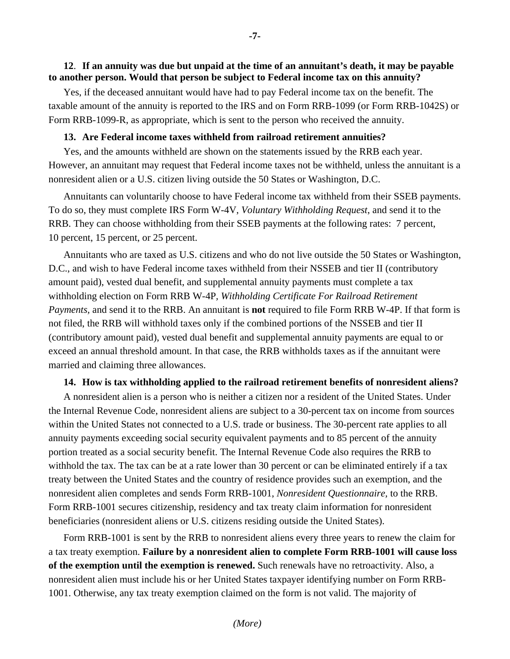#### **to another person. Would that person be subject to Federal income tax on this annuity? 12**. **If an annuity was due but unpaid at the time of an annuitant's death, it may be payable**

Yes, if the deceased annuitant would have had to pay Federal income tax on the benefit. The taxable amount of the annuity is reported to the IRS and on Form RRB-1099 (or Form RRB-1042S) or Form RRB-1099-R, as appropriate, which is sent to the person who received the annuity.

### **13. Are Federal income taxes withheld from railroad retirement annuities?**

Yes, and the amounts withheld are shown on the statements issued by the RRB each year. However, an annuitant may request that Federal income taxes not be withheld, unless the annuitant is a nonresident alien or a U.S. citizen living outside the 50 States or Washington, D.C.

Annuitants can voluntarily choose to have Federal income tax withheld from their SSEB payments. To do so, they must complete IRS Form W-4V, *Voluntary Withholding Request*, and send it to the RRB. They can choose withholding from their SSEB payments at the following rates: 7 percent, 10 percent, 15 percent, or 25 percent.

Annuitants who are taxed as U.S. citizens and who do not live outside the 50 States or Washington, D.C., and wish to have Federal income taxes withheld from their NSSEB and tier II (contributory amount paid), vested dual benefit, and supplemental annuity payments must complete a tax withholding election on Form RRB W-4P*, Withholding Certificate For Railroad Retirement Payments,* and send it to the RRB. An annuitant is **not** required to file Form RRB W-4P. If that form is not filed, the RRB will withhold taxes only if the combined portions of the NSSEB and tier II (contributory amount paid), vested dual benefit and supplemental annuity payments are equal to or exceed an annual threshold amount. In that case, the RRB withholds taxes as if the annuitant were married and claiming three allowances.

#### **14. How is tax withholding applied to the railroad retirement benefits of nonresident aliens?**

A nonresident alien is a person who is neither a citizen nor a resident of the United States. Under the Internal Revenue Code, nonresident aliens are subject to a 30-percent tax on income from sources within the United States not connected to a U.S. trade or business. The 30-percent rate applies to all annuity payments exceeding social security equivalent payments and to 85 percent of the annuity portion treated as a social security benefit. The Internal Revenue Code also requires the RRB to withhold the tax. The tax can be at a rate lower than 30 percent or can be eliminated entirely if a tax treaty between the United States and the country of residence provides such an exemption, and the nonresident alien completes and sends Form RRB-1001, *Nonresident Questionnaire,* to the RRB. Form RRB-1001 secures citizenship, residency and tax treaty claim information for nonresident beneficiaries (nonresident aliens or U.S. citizens residing outside the United States).

Form RRB-1001 is sent by the RRB to nonresident aliens every three years to renew the claim for a tax treaty exemption. **Failure by a nonresident alien to complete Form RRB-1001 will cause loss of the exemption until the exemption is renewed.** Such renewals have no retroactivity. Also, a nonresident alien must include his or her United States taxpayer identifying number on Form RRB-1001. Otherwise, any tax treaty exemption claimed on the form is not valid. The majority of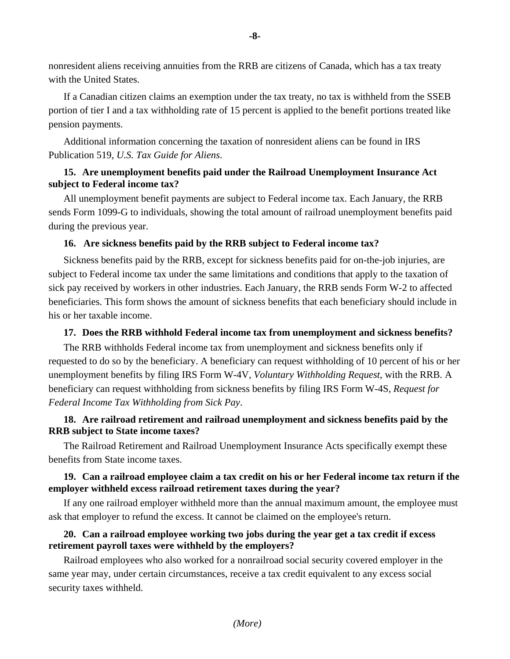nonresident aliens receiving annuities from the RRB are citizens of Canada, which has a tax treaty with the United States.

If a Canadian citizen claims an exemption under the tax treaty, no tax is withheld from the SSEB portion of tier I and a tax withholding rate of 15 percent is applied to the benefit portions treated like pension payments.

Additional information concerning the taxation of nonresident aliens can be found in IRS Publication 519, *U.S. Tax Guide for Aliens*.

# **15. Are unemployment benefits paid under the Railroad Unemployment Insurance Act subject to Federal income tax?**

All unemployment benefit payments are subject to Federal income tax. Each January, the RRB sends Form 1099-G to individuals, showing the total amount of railroad unemployment benefits paid during the previous year.

# **16. Are sickness benefits paid by the RRB subject to Federal income tax?**

Sickness benefits paid by the RRB, except for sickness benefits paid for on-the-job injuries, are subject to Federal income tax under the same limitations and conditions that apply to the taxation of sick pay received by workers in other industries. Each January, the RRB sends Form W-2 to affected beneficiaries. This form shows the amount of sickness benefits that each beneficiary should include in his or her taxable income.

# **17. Does the RRB withhold Federal income tax from unemployment and sickness benefits?**

The RRB withholds Federal income tax from unemployment and sickness benefits only if requested to do so by the beneficiary. A beneficiary can request withholding of 10 percent of his or her unemployment benefits by filing IRS Form W-4V, *Voluntary Withholding Request*, with the RRB. A beneficiary can request withholding from sickness benefits by filing IRS Form W-4S, *Request for Federal Income Tax Withholding from Sick Pay*.

# **18. Are railroad retirement and railroad unemployment and sickness benefits paid by the RRB subject to State income taxes?**

The Railroad Retirement and Railroad Unemployment Insurance Acts specifically exempt these benefits from State income taxes.

# **19. Can a railroad employee claim a tax credit on his or her Federal income tax return if the employer withheld excess railroad retirement taxes during the year?**

If any one railroad employer withheld more than the annual maximum amount, the employee must ask that employer to refund the excess. It cannot be claimed on the employee's return.

# **20. Can a railroad employee working two jobs during the year get a tax credit if excess retirement payroll taxes were withheld by the employers?**

Railroad employees who also worked for a nonrailroad social security covered employer in the same year may, under certain circumstances, receive a tax credit equivalent to any excess social security taxes withheld.